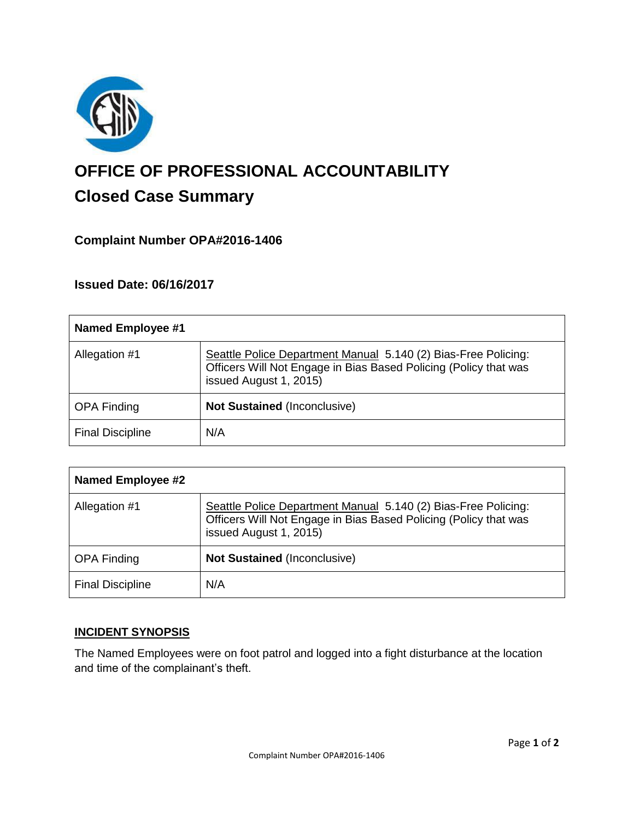

# **OFFICE OF PROFESSIONAL ACCOUNTABILITY Closed Case Summary**

## **Complaint Number OPA#2016-1406**

## **Issued Date: 06/16/2017**

| <b>Named Employee #1</b> |                                                                                                                                                              |
|--------------------------|--------------------------------------------------------------------------------------------------------------------------------------------------------------|
| Allegation #1            | Seattle Police Department Manual 5.140 (2) Bias-Free Policing:<br>Officers Will Not Engage in Bias Based Policing (Policy that was<br>issued August 1, 2015) |
| <b>OPA Finding</b>       | <b>Not Sustained (Inconclusive)</b>                                                                                                                          |
| <b>Final Discipline</b>  | N/A                                                                                                                                                          |

| <b>Named Employee #2</b> |                                                                                                                                                              |
|--------------------------|--------------------------------------------------------------------------------------------------------------------------------------------------------------|
| Allegation #1            | Seattle Police Department Manual 5.140 (2) Bias-Free Policing:<br>Officers Will Not Engage in Bias Based Policing (Policy that was<br>issued August 1, 2015) |
| <b>OPA Finding</b>       | <b>Not Sustained (Inconclusive)</b>                                                                                                                          |
| <b>Final Discipline</b>  | N/A                                                                                                                                                          |

## **INCIDENT SYNOPSIS**

The Named Employees were on foot patrol and logged into a fight disturbance at the location and time of the complainant's theft.